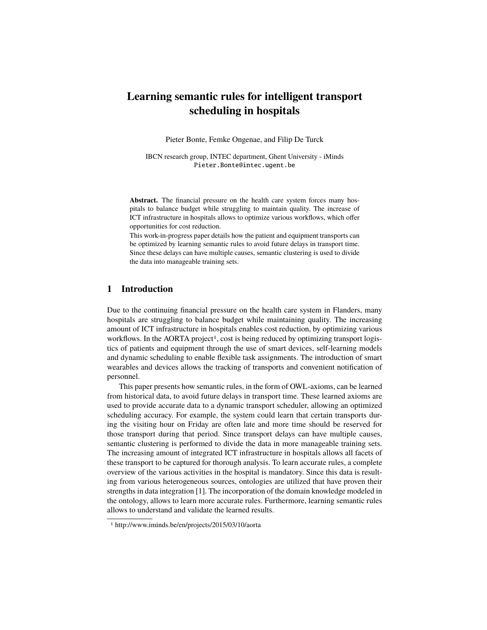# **Learning semantic rules for intelligent transport scheduling in hospitals**

Pieter Bonte, Femke Ongenae, and Filip De Turck

IBCN research group, INTEC department, Ghent University - iMinds Pieter.Bonte@intec.ugent.be

Abstract. The financial pressure on the health care system forces many hospitals to balance budget while struggling to maintain quality. The increase of ICT infrastructure in hospitals allows to optimize various workflows, which offer opportunities for cost reduction.

This work-in-progress paper details how the patient and equipment transports can be optimized by learning semantic rules to avoid future delays in transport time. Since these delays can have multiple causes, semantic clustering is used to divide the data into manageable training sets.

# **1 Introduction**

Due to the continuing financial pressure on the health care system in Flanders, many hospitals are struggling to balance budget while maintaining quality. The increasing amount of ICT infrastructure in hospitals enables cost reduction, by optimizing various workflows. In the AORTA project<sup>1</sup>, cost is being reduced by optimizing transport logistics of patients and equipment through the use of smart devices, self-learning models and dynamic scheduling to enable flexible task assignments. The introduction of smart wearables and devices allows the tracking of transports and convenient notification of personnel.

This paper presents how semantic rules, in the form of OWL-axioms, can be learned from historical data, to avoid future delays in transport time. These learned axioms are used to provide accurate data to a dynamic transport scheduler, allowing an optimized scheduling accuracy. For example, the system could learn that certain transports during the visiting hour on Friday are often late and more time should be reserved for those transport during that period. Since transport delays can have multiple causes, semantic clustering is performed to divide the data in more manageable training sets. The increasing amount of integrated ICT infrastructure in hospitals allows all facets of these transport to be captured for thorough analysis. To learn accurate rules, a complete overview of the various activities in the hospital is mandatory. Since this data is resulting from various heterogeneous sources, ontologies are utilized that have proven their strengths in data integration [1]. The incorporation of the domain knowledge modeled in the ontology, allows to learn more accurate rules. Furthermore, learning semantic rules allows to understand and validate the learned results.

<sup>1</sup> http://www.iminds.be/en/projects/2015/03/10/aorta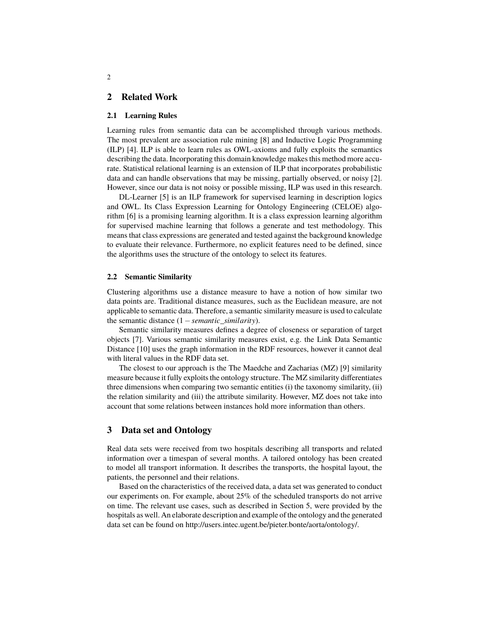# **2 Related Work**

### **2.1 Learning Rules**

Learning rules from semantic data can be accomplished through various methods. The most prevalent are association rule mining [8] and Inductive Logic Programming (ILP) [4]. ILP is able to learn rules as OWL-axioms and fully exploits the semantics describing the data. Incorporating this domain knowledge makes this method more accurate. Statistical relational learning is an extension of ILP that incorporates probabilistic data and can handle observations that may be missing, partially observed, or noisy [2]. However, since our data is not noisy or possible missing, ILP was used in this research.

DL-Learner [5] is an ILP framework for supervised learning in description logics and OWL. Its Class Expression Learning for Ontology Engineering (CELOE) algorithm [6] is a promising learning algorithm. It is a class expression learning algorithm for supervised machine learning that follows a generate and test methodology. This means that class expressions are generated and tested against the background knowledge to evaluate their relevance. Furthermore, no explicit features need to be defined, since the algorithms uses the structure of the ontology to select its features.

### **2.2 Semantic Similarity**

Clustering algorithms use a distance measure to have a notion of how similar two data points are. Traditional distance measures, such as the Euclidean measure, are not applicable to semantic data. Therefore, a semantic similarity measure is used to calculate the semantic distance (1−*semantic*\_*similarity*).

Semantic similarity measures defines a degree of closeness or separation of target objects [7]. Various semantic similarity measures exist, e.g. the Link Data Semantic Distance [10] uses the graph information in the RDF resources, however it cannot deal with literal values in the RDF data set.

The closest to our approach is the The Maedche and Zacharias (MZ) [9] similarity measure because it fully exploits the ontology structure. The MZ similarity differentiates three dimensions when comparing two semantic entities (i) the taxonomy similarity, (ii) the relation similarity and (iii) the attribute similarity. However, MZ does not take into account that some relations between instances hold more information than others.

### **3 Data set and Ontology**

Real data sets were received from two hospitals describing all transports and related information over a timespan of several months. A tailored ontology has been created to model all transport information. It describes the transports, the hospital layout, the patients, the personnel and their relations.

Based on the characteristics of the received data, a data set was generated to conduct our experiments on. For example, about 25% of the scheduled transports do not arrive on time. The relevant use cases, such as described in Section 5, were provided by the hospitals as well. An elaborate description and example of the ontology and the generated data set can be found on http://users.intec.ugent.be/pieter.bonte/aorta/ontology/.

2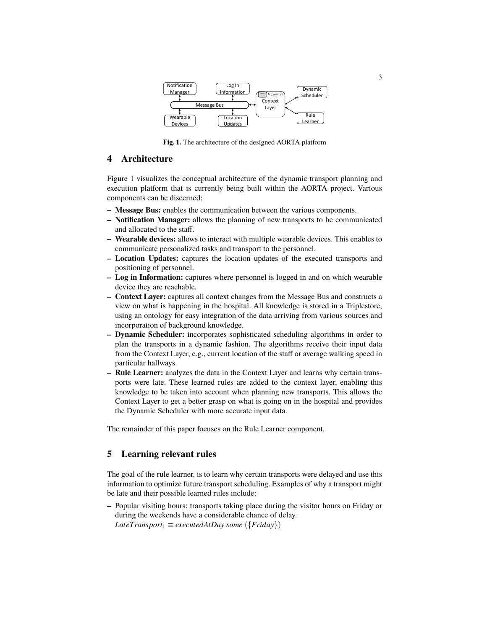

**Fig. 1.** The architecture of the designed AORTA platform

# **4 Architecture**

Figure 1 visualizes the conceptual architecture of the dynamic transport planning and execution platform that is currently being built within the AORTA project. Various components can be discerned:

- **Message Bus:** enables the communication between the various components.
- **Notification Manager:** allows the planning of new transports to be communicated and allocated to the staff.
- **Wearable devices:** allows to interact with multiple wearable devices. This enables to communicate personalized tasks and transport to the personnel.
- **Location Updates:** captures the location updates of the executed transports and positioning of personnel.
- **Log in Information:** captures where personnel is logged in and on which wearable device they are reachable.
- **Context Layer:** captures all context changes from the Message Bus and constructs a view on what is happening in the hospital. All knowledge is stored in a Triplestore, using an ontology for easy integration of the data arriving from various sources and incorporation of background knowledge.
- **Dynamic Scheduler:** incorporates sophisticated scheduling algorithms in order to plan the transports in a dynamic fashion. The algorithms receive their input data from the Context Layer, e.g., current location of the staff or average walking speed in particular hallways.
- **Rule Learner:** analyzes the data in the Context Layer and learns why certain transports were late. These learned rules are added to the context layer, enabling this knowledge to be taken into account when planning new transports. This allows the Context Layer to get a better grasp on what is going on in the hospital and provides the Dynamic Scheduler with more accurate input data.

The remainder of this paper focuses on the Rule Learner component.

# **5 Learning relevant rules**

The goal of the rule learner, is to learn why certain transports were delayed and use this information to optimize future transport scheduling. Examples of why a transport might be late and their possible learned rules include:

**–** Popular visiting hours: transports taking place during the visitor hours on Friday or during the weekends have a considerable chance of delay.  $Later Transport_1 \equiv executedAtDay some (\{Friday\})$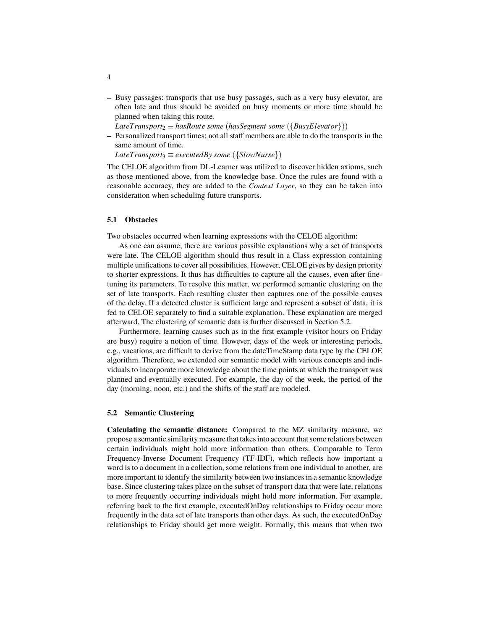**–** Busy passages: transports that use busy passages, such as a very busy elevator, are often late and thus should be avoided on busy moments or more time should be planned when taking this route.

*LateTransport*<sup>2</sup> ≡ *hasRoute some* (*hasSegment some* ({*BusyElevator*}))

**–** Personalized transport times: not all staff members are able to do the transports in the same amount of time.

 $Later Transports \equiv executedBy some (\{SlowNurse\})$ 

The CELOE algorithm from DL-Learner was utilized to discover hidden axioms, such as those mentioned above, from the knowledge base. Once the rules are found with a reasonable accuracy, they are added to the *Context Layer*, so they can be taken into consideration when scheduling future transports.

#### **5.1 Obstacles**

Two obstacles occurred when learning expressions with the CELOE algorithm:

As one can assume, there are various possible explanations why a set of transports were late. The CELOE algorithm should thus result in a Class expression containing multiple unifications to cover all possibilities. However, CELOE gives by design priority to shorter expressions. It thus has difficulties to capture all the causes, even after finetuning its parameters. To resolve this matter, we performed semantic clustering on the set of late transports. Each resulting cluster then captures one of the possible causes of the delay. If a detected cluster is sufficient large and represent a subset of data, it is fed to CELOE separately to find a suitable explanation. These explanation are merged afterward. The clustering of semantic data is further discussed in Section 5.2.

Furthermore, learning causes such as in the first example (visitor hours on Friday are busy) require a notion of time. However, days of the week or interesting periods, e.g., vacations, are difficult to derive from the dateTimeStamp data type by the CELOE algorithm. Therefore, we extended our semantic model with various concepts and individuals to incorporate more knowledge about the time points at which the transport was planned and eventually executed. For example, the day of the week, the period of the day (morning, noon, etc.) and the shifts of the staff are modeled.

#### **5.2 Semantic Clustering**

**Calculating the semantic distance:** Compared to the MZ similarity measure, we propose a semantic similarity measure that takes into account that some relations between certain individuals might hold more information than others. Comparable to Term Frequency-Inverse Document Frequency (TF-IDF), which reflects how important a word is to a document in a collection, some relations from one individual to another, are more important to identify the similarity between two instances in a semantic knowledge base. Since clustering takes place on the subset of transport data that were late, relations to more frequently occurring individuals might hold more information. For example, referring back to the first example, executedOnDay relationships to Friday occur more frequently in the data set of late transports than other days. As such, the executedOnDay relationships to Friday should get more weight. Formally, this means that when two

4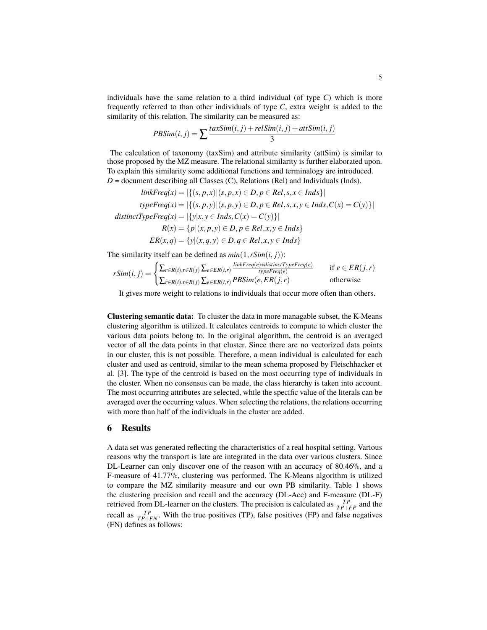individuals have the same relation to a third individual (of type  $C$ ) which is more frequently referred to than other individuals of type *C*, extra weight is added to the similarity of this relation. The similarity can be measured as:

$$
PBSim(i, j) = \sum \frac{taxSim(i, j) + relSim(i, j) + attSim(i, j)}{3}
$$

The calculation of taxonomy (taxSim) and attribute similarity (attSim) is similar to those proposed by the MZ measure. The relational similarity is further elaborated upon. To explain this similarity some additional functions and terminalogy are introduced.  $D =$  document describing all Classes (C), Relations (Rel) and Individuals (Inds).

$$
linkFreq(x) = |\{(s, p, x) | (s, p, x) \in D, p \in Rel, s, x \in Inds\}|
$$
  
\n
$$
typeFreq(x) = |\{(s, p, y) | (s, p, y) \in D, p \in Rel, s, x, y \in Inds, C(x) = C(y)\}|
$$
  
\ndistinctTypeFreq(x) =  $|\{y | x, y \in Inds, C(x) = C(y)\}|$   
\n
$$
R(x) = \{p | (x, p, y) \in D, p \in Rel, x, y \in Inds\}
$$
  
\n
$$
ER(x, q) = \{y | (x, q, y) \in D, q \in Rel, x, y \in Inds\}
$$

The similarity itself can be defined as  $min(1, rSim(i, i))$ :

$$
rSim(i, j) = \begin{cases} \sum_{r \in R(i), r \in R(j)} \sum_{e \in ER(i,r)} \frac{linkFreq(e)*distinctTypeFreq(e)}{typeFreq(e)} & \text{if } e \in ER(j,r) \\ \sum_{r \in R(i), r \in R(j)} \sum_{e \in ER(i,r)} PBSim(e, ER(j,r) & \text{otherwise} \end{cases}
$$

It gives more weight to relations to individuals that occur more often than others.

**Clustering semantic data:** To cluster the data in more managable subset, the K-Means clustering algorithm is utilized. It calculates centroids to compute to which cluster the various data points belong to. In the original algorithm, the centroid is an averaged vector of all the data points in that cluster. Since there are no vectorized data points in our cluster, this is not possible. Therefore, a mean individual is calculated for each cluster and used as centroid, similar to the mean schema proposed by Fleischhacker et al. [3]. The type of the centroid is based on the most occurring type of individuals in the cluster. When no consensus can be made, the class hierarchy is taken into account. The most occurring attributes are selected, while the specific value of the literals can be averaged over the occurring values. When selecting the relations, the relations occurring with more than half of the individuals in the cluster are added.

## **6 Results**

A data set was generated reflecting the characteristics of a real hospital setting. Various reasons why the transport is late are integrated in the data over various clusters. Since DL-Learner can only discover one of the reason with an accuracy of 80.46%, and a F-measure of 41.77%, clustering was performed. The K-Means algorithm is utilized to compare the MZ similarity measure and our own PB similarity. Table 1 shows the clustering precision and recall and the accuracy (DL-Acc) and F-measure (DL-F) retrieved from DL-learner on the clusters. The precision is calculated as  $\frac{TP}{TP+FP}$  and the recall as  $\frac{TP}{TP+FN}$ . With the true positives (TP), false positives (FP) and false negatives (FN) defines as follows: